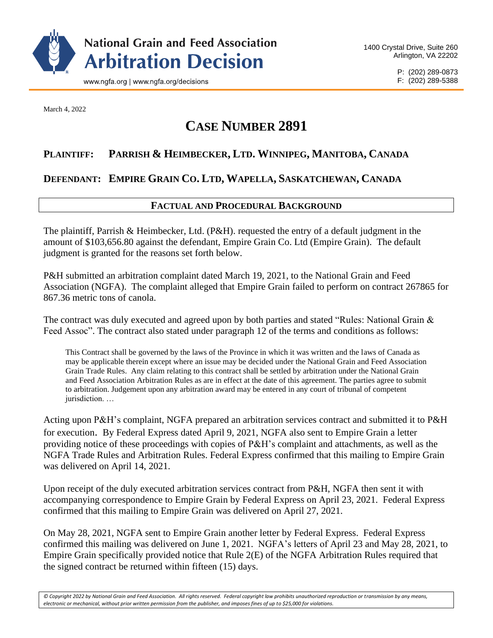

P: (202) 289-0873 F: (202) 289-5388

March 4, 2022

# **CASE NUMBER 2891**

# **PLAINTIFF: PARRISH & HEIMBECKER, LTD. WINNIPEG, MANITOBA, CANADA**

## **DEFENDANT: EMPIRE GRAIN CO. LTD, WAPELLA, SASKATCHEWAN, CANADA**

## **FACTUAL AND PROCEDURAL BACKGROUND**

The plaintiff, Parrish & Heimbecker, Ltd. (P&H). requested the entry of a default judgment in the amount of \$103,656.80 against the defendant, Empire Grain Co. Ltd (Empire Grain). The default judgment is granted for the reasons set forth below.

P&H submitted an arbitration complaint dated March 19, 2021, to the National Grain and Feed Association (NGFA). The complaint alleged that Empire Grain failed to perform on contract 267865 for 867.36 metric tons of canola.

The contract was duly executed and agreed upon by both parties and stated "Rules: National Grain & Feed Assoc". The contract also stated under paragraph 12 of the terms and conditions as follows:

This Contract shall be governed by the laws of the Province in which it was written and the laws of Canada as may be applicable therein except where an issue may be decided under the National Grain and Feed Association Grain Trade Rules. Any claim relating to this contract shall be settled by arbitration under the National Grain and Feed Association Arbitration Rules as are in effect at the date of this agreement. The parties agree to submit to arbitration. Judgement upon any arbitration award may be entered in any court of tribunal of competent jurisdiction. …

Acting upon P&H's complaint, NGFA prepared an arbitration services contract and submitted it to P&H for execution. By Federal Express dated April 9, 2021, NGFA also sent to Empire Grain a letter providing notice of these proceedings with copies of P&H's complaint and attachments, as well as the NGFA Trade Rules and Arbitration Rules. Federal Express confirmed that this mailing to Empire Grain was delivered on April 14, 2021.

Upon receipt of the duly executed arbitration services contract from P&H, NGFA then sent it with accompanying correspondence to Empire Grain by Federal Express on April 23, 2021. Federal Express confirmed that this mailing to Empire Grain was delivered on April 27, 2021.

On May 28, 2021, NGFA sent to Empire Grain another letter by Federal Express. Federal Express confirmed this mailing was delivered on June 1, 2021. NGFA's letters of April 23 and May 28, 2021, to Empire Grain specifically provided notice that Rule 2(E) of the NGFA Arbitration Rules required that the signed contract be returned within fifteen (15) days.

*© Copyright 2022 by National Grain and Feed Association. All rights reserved. Federal copyright law prohibits unauthorized reproduction or transmission by any means, electronic or mechanical, without prior written permission from the publisher, and imposes fines of up to \$25,000 for violations.*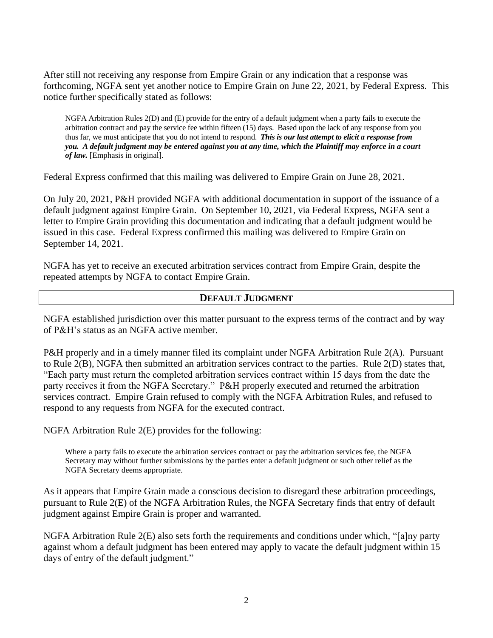After still not receiving any response from Empire Grain or any indication that a response was forthcoming, NGFA sent yet another notice to Empire Grain on June 22, 2021, by Federal Express. This notice further specifically stated as follows:

NGFA Arbitration Rules 2(D) and (E) provide for the entry of a default judgment when a party fails to execute the arbitration contract and pay the service fee within fifteen (15) days. Based upon the lack of any response from you thus far, we must anticipate that you do not intend to respond. *This is our last attempt to elicit a response from you. A default judgment may be entered against you at any time, which the Plaintiff may enforce in a court of law.* [Emphasis in original].

Federal Express confirmed that this mailing was delivered to Empire Grain on June 28, 2021.

On July 20, 2021, P&H provided NGFA with additional documentation in support of the issuance of a default judgment against Empire Grain. On September 10, 2021, via Federal Express, NGFA sent a letter to Empire Grain providing this documentation and indicating that a default judgment would be issued in this case. Federal Express confirmed this mailing was delivered to Empire Grain on September 14, 2021.

NGFA has yet to receive an executed arbitration services contract from Empire Grain, despite the repeated attempts by NGFA to contact Empire Grain.

## **DEFAULT JUDGMENT**

NGFA established jurisdiction over this matter pursuant to the express terms of the contract and by way of P&H's status as an NGFA active member.

P&H properly and in a timely manner filed its complaint under NGFA Arbitration Rule 2(A). Pursuant to Rule 2(B), NGFA then submitted an arbitration services contract to the parties. Rule 2(D) states that, "Each party must return the completed arbitration services contract within 15 days from the date the party receives it from the NGFA Secretary." P&H properly executed and returned the arbitration services contract. Empire Grain refused to comply with the NGFA Arbitration Rules, and refused to respond to any requests from NGFA for the executed contract.

NGFA Arbitration Rule 2(E) provides for the following:

Where a party fails to execute the arbitration services contract or pay the arbitration services fee, the NGFA Secretary may without further submissions by the parties enter a default judgment or such other relief as the NGFA Secretary deems appropriate.

As it appears that Empire Grain made a conscious decision to disregard these arbitration proceedings, pursuant to Rule 2(E) of the NGFA Arbitration Rules, the NGFA Secretary finds that entry of default judgment against Empire Grain is proper and warranted.

NGFA Arbitration Rule 2(E) also sets forth the requirements and conditions under which, "[a]ny party against whom a default judgment has been entered may apply to vacate the default judgment within 15 days of entry of the default judgment."